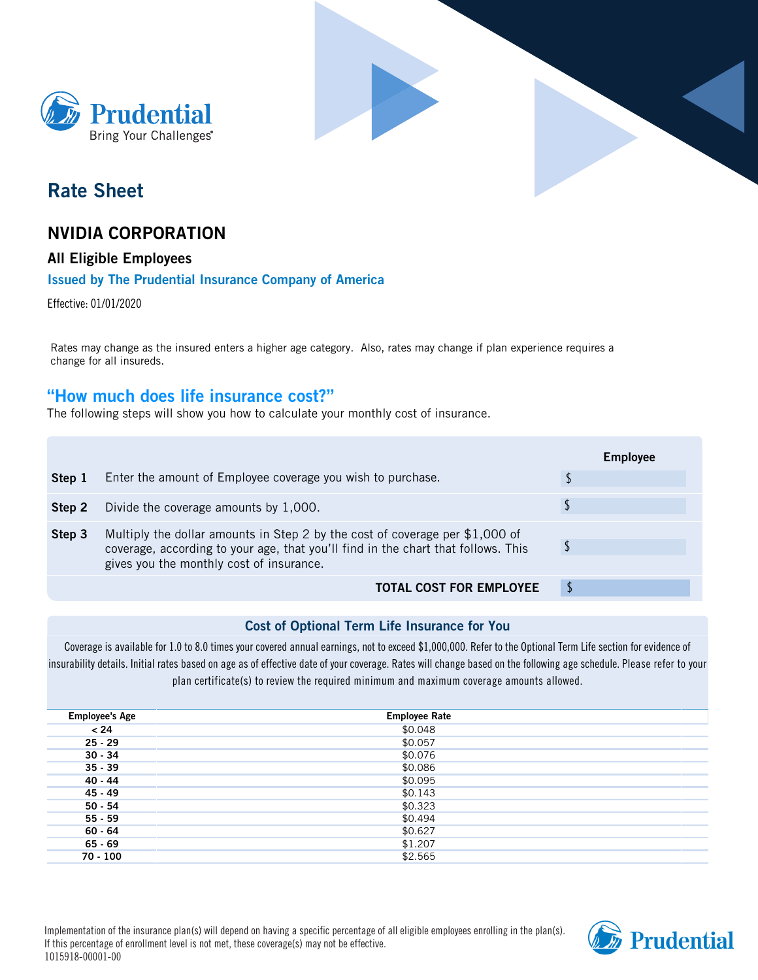



# **Rate Sheet**

# **NVIDIA CORPORATION**

## **All Eligible Employees**

## **Issued by The Prudential Insurance Company of America**

Effective: 01/01/2020

Rates may change as the insured enters a higher age category. Also, rates may change if plan experience requires a change for all insureds.

# **How much does life insurance cost?**

The following steps will show you how to calculate your monthly cost of insurance.

|        |                                                                                                                                                                                                               | <b>Employee</b> |
|--------|---------------------------------------------------------------------------------------------------------------------------------------------------------------------------------------------------------------|-----------------|
| Step 1 | Enter the amount of Employee coverage you wish to purchase.                                                                                                                                                   |                 |
| Step 2 | Divide the coverage amounts by 1,000.                                                                                                                                                                         |                 |
| Step 3 | Multiply the dollar amounts in Step 2 by the cost of coverage per \$1,000 of<br>coverage, according to your age, that you'll find in the chart that follows. This<br>gives you the monthly cost of insurance. |                 |
|        | <b>TOTAL COST FOR EMPLOYEE</b>                                                                                                                                                                                |                 |

## **Cost of Optional Term Life Insurance for You**

Coverage is available for 1.0 to 8.0 times your covered annual earnings, not to exceed \$1,000,000. Refer to the Optional Term Life section for evidence of insurability details. Initial rates based on age as of effective date of your coverage. Rates will change based on the following age schedule. **Please refer to your plan certificate(s) to review the required minimum and maximum coverage amounts allowed.**

| <b>Employee's Age</b> | <b>Employee Rate</b> |
|-----------------------|----------------------|
| < 24                  | \$0.048              |
| $25 - 29$             | \$0.057              |
| $30 - 34$             | \$0.076              |
| $35 - 39$             | \$0.086              |
| $40 - 44$             | \$0.095              |
| 45 - 49               | \$0.143              |
| $50 - 54$             | \$0.323              |
| $55 - 59$             | \$0.494              |
| 60 - 64               | \$0.627              |
| $65 - 69$             | \$1.207              |
| $70 - 100$            | \$2.565              |
|                       |                      |

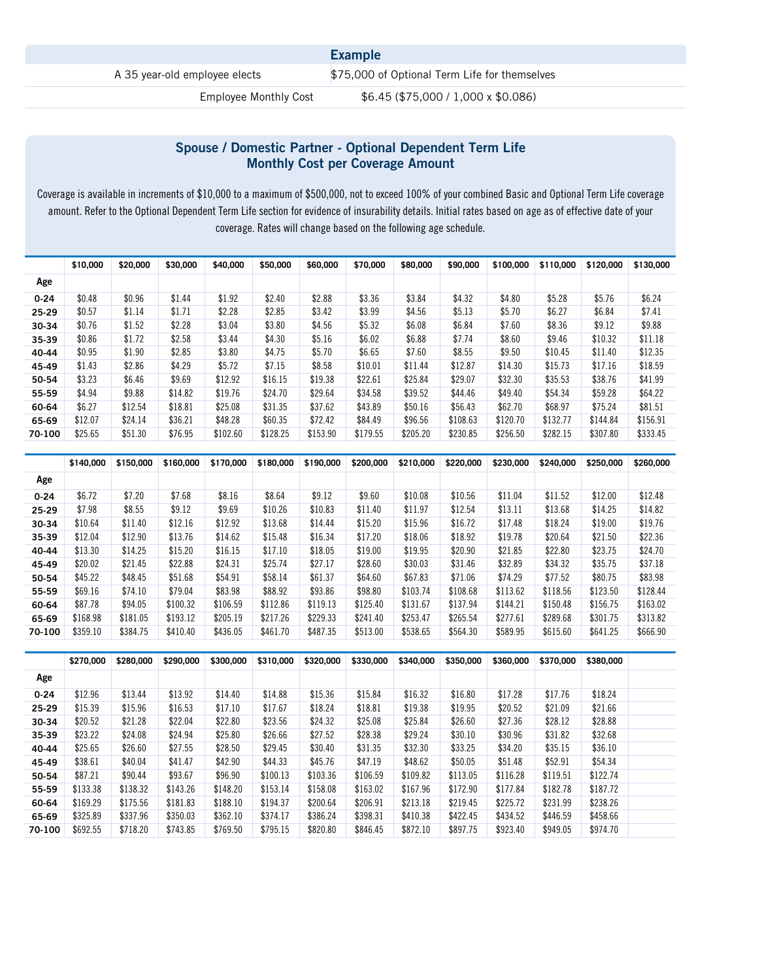|                               | <b>Example</b>                                |
|-------------------------------|-----------------------------------------------|
| A 35 year-old employee elects | \$75,000 of Optional Term Life for themselves |
| Employee Monthly Cost         | \$6.45 (\$75,000 / 1,000 x \$0.086)           |

## **Spouse / Domestic Partner - Optional Dependent Term Life Monthly Cost per Coverage Amount**

Coverage is available in increments of \$10,000 to a maximum of \$500,000, not to exceed 100% of your combined Basic and Optional Term Life coverage amount. Refer to the Optional Dependent Term Life section for evidence of insurability details. Initial rates based on age as of effective date of your coverage. Rates will change based on the following age schedule.

|          | \$10,000 | \$20,000 | \$30,000 | \$40,000 | \$50,000 | \$60,000 | \$70,000 | \$80,000 | \$90,000 | \$100,000 | \$110,000 | \$120,000 | \$130,000 |
|----------|----------|----------|----------|----------|----------|----------|----------|----------|----------|-----------|-----------|-----------|-----------|
| Age      |          |          |          |          |          |          |          |          |          |           |           |           |           |
| $0 - 24$ | \$0.48   | \$0.96   | \$1.44   | \$1.92   | \$2.40   | \$2.88   | \$3.36   | \$3.84   | \$4.32   | \$4.80    | \$5.28    | \$5.76    | \$6.24    |
| 25-29    | \$0.57   | \$1.14   | \$1.71   | \$2.28   | \$2.85   | \$3.42   | \$3.99   | \$4.56   | \$5.13   | \$5.70    | \$6.27    | \$6.84    | \$7.41    |
| 30-34    | \$0.76   | \$1.52   | \$2.28   | \$3.04   | \$3.80   | \$4.56   | \$5.32   | \$6.08   | \$6.84   | \$7.60    | \$8.36    | \$9.12    | \$9.88    |
| 35-39    | \$0.86   | \$1.72   | \$2.58   | \$3.44   | \$4.30   | \$5.16   | \$6.02   | \$6.88   | \$7.74   | \$8.60    | \$9.46    | \$10.32   | \$11.18   |
| 40-44    | \$0.95   | \$1.90   | \$2.85   | \$3.80   | \$4.75   | \$5.70   | \$6.65   | \$7.60   | \$8.55   | \$9.50    | \$10.45   | \$11.40   | \$12.35   |
| 45-49    | \$1.43   | \$2.86   | \$4.29   | \$5.72   | \$7.15   | \$8.58   | \$10.01  | \$11.44  | \$12.87  | \$14.30   | \$15.73   | \$17.16   | \$18.59   |
| 50-54    | \$3.23   | \$6.46   | \$9.69   | \$12.92  | \$16.15  | \$19.38  | \$22.61  | \$25.84  | \$29.07  | \$32.30   | \$35.53   | \$38.76   | \$41.99   |
| 55-59    | \$4.94   | \$9.88   | \$14.82  | \$19.76  | \$24.70  | \$29.64  | \$34.58  | \$39.52  | \$44.46  | \$49.40   | \$54.34   | \$59.28   | \$64.22   |
| 60-64    | \$6.27   | \$12.54  | \$18.81  | \$25.08  | \$31.35  | \$37.62  | \$43.89  | \$50.16  | \$56.43  | \$62.70   | \$68.97   | \$75.24   | \$81.51   |
| 65-69    | \$12.07  | \$24.14  | \$36.21  | \$48.28  | \$60.35  | \$72.42  | \$84.49  | \$96.56  | \$108.63 | \$120.70  | \$132.77  | \$144.84  | \$156.91  |
| 70-100   | \$25.65  | \$51.30  | \$76.95  | \$102.60 | \$128.25 | \$153.90 | \$179.55 | \$205.20 | \$230.85 | \$256.50  | \$282.15  | \$307.80  | \$333.45  |

|          | \$140,000 | \$150,000 | \$160,000 | \$170,000 | \$180,000 | \$190,000 | \$200,000 | \$210,000 | \$220,000 | \$230,000 | \$240,000 | \$250,000 | \$260,000 |
|----------|-----------|-----------|-----------|-----------|-----------|-----------|-----------|-----------|-----------|-----------|-----------|-----------|-----------|
| Age      |           |           |           |           |           |           |           |           |           |           |           |           |           |
| $0 - 24$ | \$6.72    | \$7.20    | \$7.68    | \$8.16    | \$8.64    | \$9.12    | \$9.60    | \$10.08   | \$10.56   | \$11.04   | \$11.52   | \$12.00   | \$12.48   |
| 25-29    | \$7.98    | \$8.55    | \$9.12    | \$9.69    | \$10.26   | \$10.83   | \$11.40   | \$11.97   | \$12.54   | \$13.11   | \$13.68   | \$14.25   | \$14.82   |
| 30-34    | \$10.64   | \$11.40   | \$12.16   | \$12.92   | \$13.68   | \$14.44   | \$15.20   | \$15.96   | \$16.72   | \$17.48   | \$18.24   | \$19.00   | \$19.76   |
| 35-39    | \$12.04   | \$12.90   | \$13.76   | \$14.62   | \$15.48   | \$16.34   | \$17.20   | \$18.06   | \$18.92   | \$19.78   | \$20.64   | \$21.50   | \$22.36   |
| 40-44    | \$13.30   | \$14.25   | \$15.20   | \$16.15   | \$17.10   | \$18.05   | \$19.00   | \$19.95   | \$20.90   | \$21.85   | \$22.80   | \$23.75   | \$24.70   |
| 45-49    | \$20.02   | \$21.45   | \$22.88   | \$24.31   | \$25.74   | \$27.17   | \$28.60   | \$30.03   | \$31.46   | \$32.89   | \$34.32   | \$35.75   | \$37.18   |
| 50-54    | \$45.22   | \$48.45   | \$51.68   | \$54.91   | \$58.14   | \$61.37   | \$64.60   | \$67.83   | \$71.06   | \$74.29   | \$77.52   | \$80.75   | \$83.98   |
| 55-59    | \$69.16   | \$74.10   | \$79.04   | \$83.98   | \$88.92   | \$93.86   | \$98.80   | \$103.74  | \$108.68  | \$113.62  | \$118.56  | \$123.50  | \$128.44  |
| 60-64    | \$87.78   | \$94.05   | \$100.32  | \$106.59  | \$112.86  | \$119.13  | \$125.40  | \$131.67  | \$137.94  | \$144.21  | \$150.48  | \$156.75  | \$163.02  |
| 65-69    | \$168.98  | \$181.05  | \$193.12  | \$205.19  | \$217.26  | \$229.33  | \$241.40  | \$253.47  | \$265.54  | \$277.61  | \$289.68  | \$301.75  | \$313.82  |
| 70-100   | \$359.10  | \$384.75  | \$410.40  | \$436.05  | \$461.70  | \$487.35  | \$513.00  | \$538.65  | \$564.30  | \$589.95  | \$615.60  | \$641.25  | \$666.90  |

|          | \$270,000 | \$280,000 | \$290,000 | \$300,000 | \$310,000 | \$320,000 | \$330,000 | \$340,000 | \$350,000 | \$360,000 | \$370,000 | \$380,000 |  |
|----------|-----------|-----------|-----------|-----------|-----------|-----------|-----------|-----------|-----------|-----------|-----------|-----------|--|
| Age      |           |           |           |           |           |           |           |           |           |           |           |           |  |
| $0 - 24$ | \$12.96   | \$13.44   | \$13.92   | \$14.40   | \$14.88   | \$15.36   | \$15.84   | \$16.32   | \$16.80   | \$17.28   | \$17.76   | \$18.24   |  |
| 25-29    | \$15.39   | \$15.96   | \$16.53   | \$17.10   | \$17.67   | \$18.24   | \$18.81   | \$19.38   | \$19.95   | \$20.52   | \$21.09   | \$21.66   |  |
| 30-34    | \$20.52   | \$21.28   | \$22.04   | \$22.80   | \$23.56   | \$24.32   | \$25.08   | \$25.84   | \$26.60   | \$27.36   | \$28.12   | \$28.88   |  |
| 35-39    | \$23.22   | \$24.08   | \$24.94   | \$25.80   | \$26.66   | \$27.52   | \$28.38   | \$29.24   | \$30.10   | \$30.96   | \$31.82   | \$32.68   |  |
| 40-44    | \$25.65   | \$26.60   | \$27.55   | \$28.50   | \$29.45   | \$30.40   | \$31.35   | \$32.30   | \$33.25   | \$34.20   | \$35.15   | \$36.10   |  |
| 45-49    | \$38.61   | \$40.04   | \$41.47   | \$42.90   | \$44.33   | \$45.76   | \$47.19   | \$48.62   | \$50.05   | \$51.48   | \$52.91   | \$54.34   |  |
| 50-54    | \$87.21   | \$90.44   | \$93.67   | \$96.90   | \$100.13  | \$103.36  | \$106.59  | \$109.82  | \$113.05  | \$116.28  | \$119.51  | \$122.74  |  |
| 55-59    | \$133.38  | \$138.32  | \$143.26  | \$148.20  | \$153.14  | \$158.08  | \$163.02  | \$167.96  | \$172.90  | \$177.84  | \$182.78  | \$187.72  |  |
| 60-64    | \$169.29  | \$175.56  | \$181.83  | \$188.10  | \$194.37  | \$200.64  | \$206.91  | \$213.18  | \$219.45  | \$225.72  | \$231.99  | \$238.26  |  |
| 65-69    | \$325.89  | \$337.96  | \$350.03  | \$362.10  | \$374.17  | \$386.24  | \$398.31  | \$410.38  | \$422.45  | \$434.52  | \$446.59  | \$458.66  |  |
| 70-100   | \$692.55  | \$718.20  | \$743.85  | \$769.50  | \$795.15  | \$820.80  | \$846.45  | \$872.10  | \$897.75  | \$923.40  | \$949.05  | \$974.70  |  |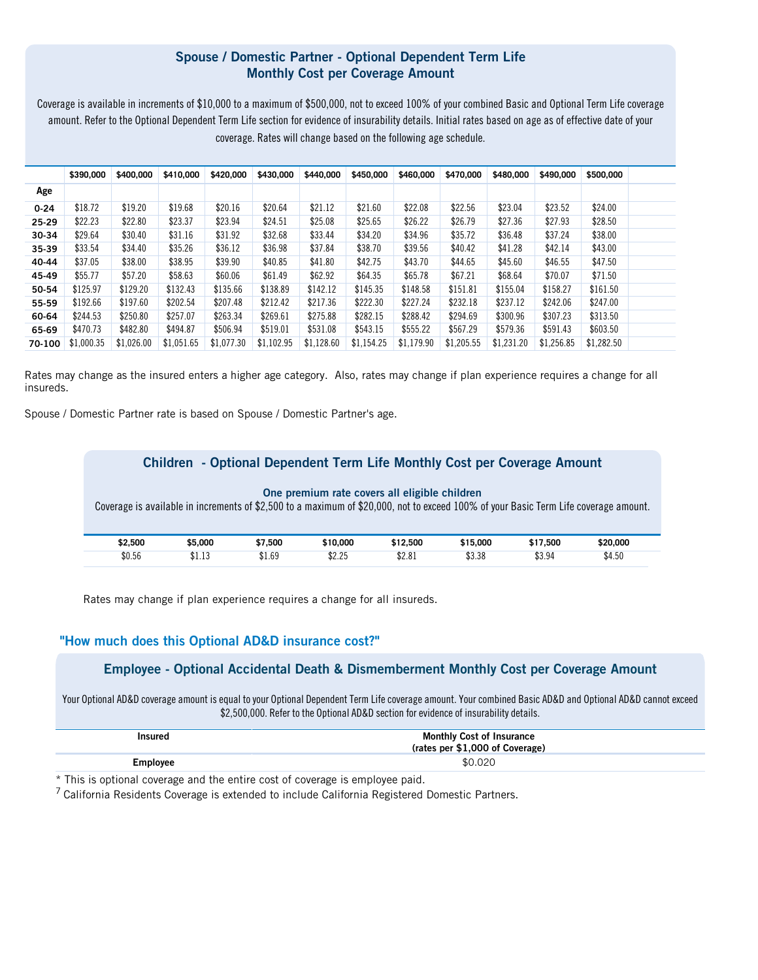## **Spouse / Domestic Partner - Optional Dependent Term Life Monthly Cost per Coverage Amount**

Coverage is available in increments of \$10,000 to a maximum of \$500,000, not to exceed 100% of your combined Basic and Optional Term Life coverage amount. Refer to the Optional Dependent Term Life section for evidence of insurability details. Initial rates based on age as of effective date of your coverage. Rates will change based on the following age schedule.

|          | \$390,000  | \$400,000  | \$410,000  | \$420,000  | \$430,000  | \$440,000  | \$450,000  | \$460,000  | \$470,000  | \$480,000  | \$490,000  | \$500,000  |  |
|----------|------------|------------|------------|------------|------------|------------|------------|------------|------------|------------|------------|------------|--|
| Age      |            |            |            |            |            |            |            |            |            |            |            |            |  |
| $0 - 24$ | \$18.72    | \$19.20    | \$19.68    | \$20.16    | \$20.64    | \$21.12    | \$21.60    | \$22.08    | \$22.56    | \$23.04    | \$23.52    | \$24.00    |  |
| 25-29    | \$22.23    | \$22.80    | \$23.37    | \$23.94    | \$24.51    | \$25.08    | \$25.65    | \$26.22    | \$26.79    | \$27.36    | \$27.93    | \$28.50    |  |
| 30-34    | \$29.64    | \$30.40    | \$31.16    | \$31.92    | \$32.68    | \$33.44    | \$34.20    | \$34.96    | \$35.72    | \$36.48    | \$37.24    | \$38.00    |  |
| 35-39    | \$33.54    | \$34.40    | \$35.26    | \$36.12    | \$36.98    | \$37.84    | \$38.70    | \$39.56    | \$40.42    | \$41.28    | \$42.14    | \$43.00    |  |
| 40-44    | \$37.05    | \$38.00    | \$38.95    | \$39.90    | \$40.85    | \$41.80    | \$42.75    | \$43.70    | \$44.65    | \$45.60    | \$46.55    | \$47.50    |  |
| 45-49    | \$55.77    | \$57.20    | \$58.63    | \$60.06    | \$61.49    | \$62.92    | \$64.35    | \$65.78    | \$67.21    | \$68.64    | \$70.07    | \$71.50    |  |
| 50-54    | \$125.97   | \$129.20   | \$132.43   | \$135.66   | \$138.89   | \$142.12   | \$145.35   | \$148.58   | \$151.81   | \$155.04   | \$158.27   | \$161.50   |  |
| 55-59    | \$192.66   | \$197.60   | \$202.54   | \$207.48   | \$212.42   | \$217.36   | \$222.30   | \$227.24   | \$232.18   | \$237.12   | \$242.06   | \$247.00   |  |
| 60-64    | \$244.53   | \$250.80   | \$257.07   | \$263.34   | \$269.61   | \$275.88   | \$282.15   | \$288.42   | \$294.69   | \$300.96   | \$307.23   | \$313.50   |  |
| 65-69    | \$470.73   | \$482.80   | \$494.87   | \$506.94   | \$519.01   | \$531.08   | \$543.15   | \$555.22   | \$567.29   | \$579.36   | \$591.43   | \$603.50   |  |
| 70-100   | \$1,000.35 | \$1,026.00 | \$1,051.65 | \$1,077.30 | \$1,102.95 | \$1,128.60 | \$1,154.25 | \$1,179.90 | \$1,205.55 | \$1,231.20 | \$1,256.85 | \$1,282.50 |  |

Rates may change as the insured enters a higher age category. Also, rates may change if plan experience requires a change for all insureds.

Spouse / Domestic Partner rate is based on Spouse / Domestic Partner's age.

|         |         |         | Children - Optional Dependent Term Life Monthly Cost per Coverage Amount |          |          |          |                                                                                                                                      |
|---------|---------|---------|--------------------------------------------------------------------------|----------|----------|----------|--------------------------------------------------------------------------------------------------------------------------------------|
|         |         |         | One premium rate covers all eligible children                            |          |          |          | Coverage is available in increments of \$2,500 to a maximum of \$20,000, not to exceed 100% of your Basic Term Life coverage amount. |
| \$2,500 | \$5,000 | \$7.500 | \$10,000                                                                 | \$12,500 | \$15,000 | \$17,500 | \$20,000                                                                                                                             |
| \$0.56  | \$1.13  | \$1.69  | \$2.25                                                                   | \$2.81   | \$3.38   | \$3.94   | \$4.50                                                                                                                               |

Rates may change if plan experience requires a change for all insureds.

## **"How much does this Optional AD&D insurance cost?"**

## **Employee - Optional Accidental Death & Dismemberment Monthly Cost per Coverage Amount**

Your Optional AD&D coverage amount is equal to your Optional Dependent Term Life coverage amount. Your combined Basic AD&D and Optional AD&D cannot exceed

| \$2,500,000. Refer to the Optional AD&D section for evidence of insurability details. |                                                                     |  |  |  |  |  |  |  |  |  |
|---------------------------------------------------------------------------------------|---------------------------------------------------------------------|--|--|--|--|--|--|--|--|--|
| <b>Insured</b>                                                                        | <b>Monthly Cost of Insurance</b><br>(rates per \$1,000 of Coverage) |  |  |  |  |  |  |  |  |  |
| <b>Employee</b>                                                                       | \$0.020                                                             |  |  |  |  |  |  |  |  |  |

\* This is optional coverage and the entire cost of coverage is employee paid.

<sup>7</sup> California Residents Coverage is extended to include California Registered Domestic Partners.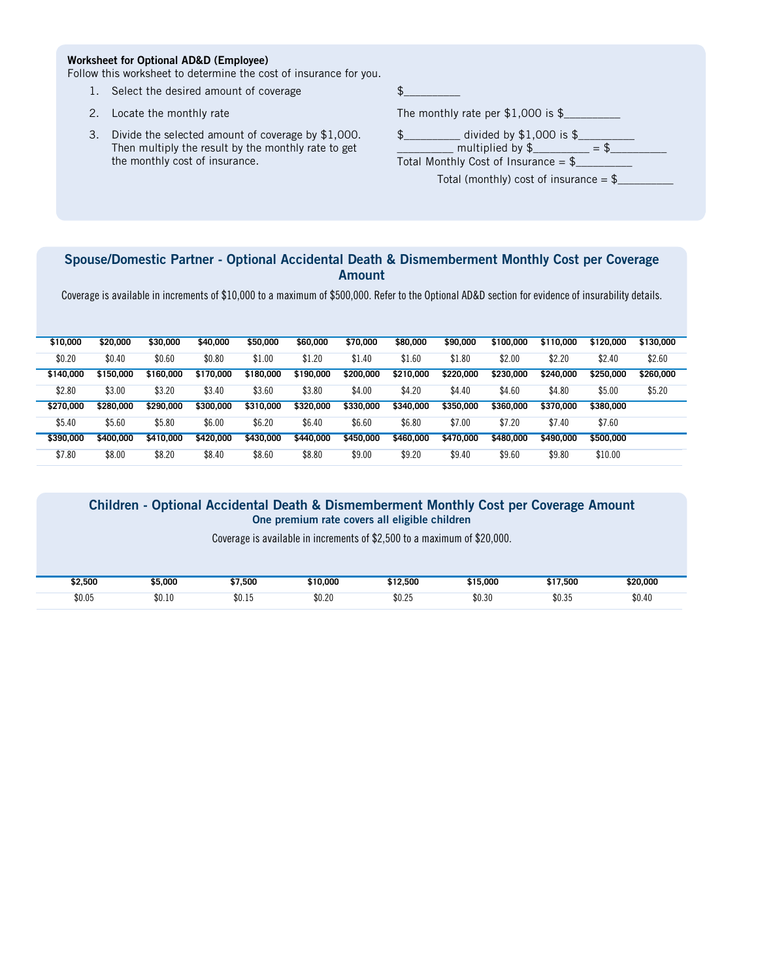#### **Worksheet for Optional AD&D (Employee)**

Follow this worksheet to determine the cost of insurance for you. 1. Select the desired amount of coverage \$\_\_\_\_\_\_\_\_\_\_

- 2. Select the desired amount of coverage<br>
2. Locate the monthly rate<br>
The monthly rate per \$1,000 is \$
- 
- 2. Locate the monthly rate<br>3. Divide the selected amount of coverage by \$1,000.<br>Then multiply the result by the menthly rate to set Divide the selected amount of coverage by \$1,000.<br>Then multiply the result by the monthly rate to get Divide the selected amount of co<br>Then multiply the result by the n<br>the monthly cost of insurance.

The monthly rate per  $$1,000$  is  $$$ <br> $$$ <br> $$$  divided by  $$1,000$  is  $$$ \_\_\_\_\_\_\_\_\_\_ multiplied by \$\_\_\_\_\_\_\_\_\_\_ = \$\_\_\_\_\_\_\_\_\_\_ Total Monthly Cost of Insurance = \$\_\_\_\_\_\_\_\_\_\_

Total (monthly) cost of insurance  $=$  \$

## **Spouse/Domestic Partner - Optional Accidental Death & Dismemberment Monthly Cost per Coverage Amount**

Coverage is available in increments of \$10,000 to a maximum of \$500,000. Refer to the Optional AD&D section for evidence of insurability details.

| \$10,000  | \$20,000  | \$30,000  | \$40,000  | \$50,000  | \$60,000  | \$70,000  | \$80,000  | \$90,000  | \$100,000 | \$110,000 | \$120,000 | \$130,000 |
|-----------|-----------|-----------|-----------|-----------|-----------|-----------|-----------|-----------|-----------|-----------|-----------|-----------|
| \$0.20    | \$0.40    | \$0.60    | \$0.80    | \$1.00    | \$1.20    | \$1.40    | \$1.60    | \$1.80    | \$2.00    | \$2.20    | \$2.40    | \$2.60    |
| \$140,000 | \$150,000 | \$160,000 | \$170,000 | \$180,000 | \$190,000 | \$200,000 | \$210,000 | \$220,000 | \$230,000 | \$240,000 | \$250,000 | \$260,000 |
| \$2.80    | \$3.00    | \$3.20    | \$3.40    | \$3.60    | \$3.80    | \$4.00    | \$4.20    | \$4.40    | \$4.60    | \$4.80    | \$5.00    | \$5.20    |
| \$270,000 | \$280,000 | \$290,000 | \$300,000 | \$310,000 | \$320,000 | \$330,000 | \$340,000 | \$350,000 | \$360,000 | \$370,000 | \$380,000 |           |
| \$5.40    | \$5.60    | \$5.80    | \$6.00    | \$6.20    | \$6.40    | \$6.60    | \$6.80    | \$7.00    | \$7.20    | \$7.40    | \$7.60    |           |
| \$390,000 | \$400,000 | \$410,000 | \$420,000 | \$430,000 | \$440,000 | \$450,000 | \$460,000 | \$470,000 | \$480,000 | \$490,000 | \$500,000 |           |
| \$7.80    | \$8.00    | \$8.20    | \$8.40    | \$8.60    | \$8.80    | \$9.00    | \$9.20    | \$9.40    | \$9.60    | \$9.80    | \$10.00   |           |

#### **Children - Optional Accidental Death & Dismemberment Monthly Cost per Coverage Amount One premium rate covers all eligible children**

Coverage is available in increments of \$2,500 to a maximum of \$20,000.

| \$2,500 | \$5,000 | \$7,500            | \$10,000 | \$12,500 | \$15,000 | \$17,500 | \$20,000 |
|---------|---------|--------------------|----------|----------|----------|----------|----------|
| \$0.05  | \$0.10  | ሰሰ<br><b>JU.LU</b> | \$0.20   | \$0.25   | \$0.30   | \$0.35   | \$0.40   |